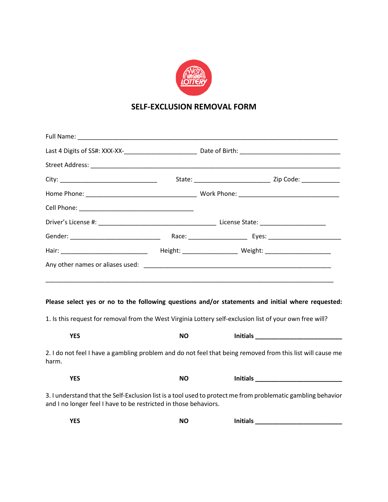

## **SELF-EXCLUSION REMOVAL FORM**

|                                                                  |           | <u> 1989 - John Harry Harry Harry Harry Harry Harry Harry Harry Harry Harry Harry Harry Harry Harry Harry Harry</u>                                                                                                                 |  |
|------------------------------------------------------------------|-----------|-------------------------------------------------------------------------------------------------------------------------------------------------------------------------------------------------------------------------------------|--|
|                                                                  |           | Please select yes or no to the following questions and/or statements and initial where requested:                                                                                                                                   |  |
|                                                                  |           | 1. Is this request for removal from the West Virginia Lottery self-exclusion list of your own free will?                                                                                                                            |  |
| <b>YES</b>                                                       | <b>NO</b> | <b>Initials</b> and the contract of the contract of the contract of the contract of the contract of the contract of the contract of the contract of the contract of the contract of the contract of the contract of the contract of |  |
| harm.                                                            |           | 2. I do not feel I have a gambling problem and do not feel that being removed from this list will cause me                                                                                                                          |  |
| <b>YES</b>                                                       | <b>NO</b> | <b>Initials</b>                                                                                                                                                                                                                     |  |
| and I no longer feel I have to be restricted in those behaviors. |           | 3. I understand that the Self-Exclusion list is a tool used to protect me from problematic gambling behavior                                                                                                                        |  |

| <b>VEC</b><br>. .<br>$\sim$ | <b>NO</b> | <b>Initials</b><br> |  |
|-----------------------------|-----------|---------------------|--|
|-----------------------------|-----------|---------------------|--|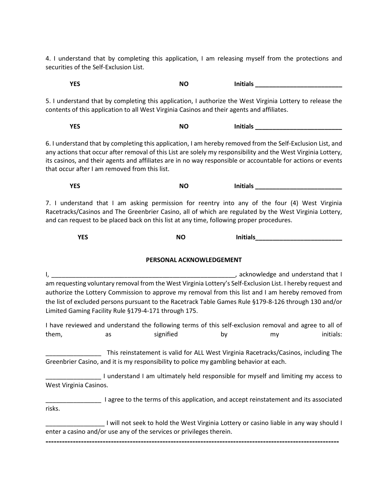4. I understand that by completing this application, I am releasing myself from the protections and securities of the Self-Exclusion List.

5. I understand that by completing this application, I authorize the West Virginia Lottery to release the contents of this application to all West Virginia Casinos and their agents and affiliates.

**YES** NO Initials and the MO initials and the MO initials are the MO initials and the MO initials and the MO initials and the MO initials are the MO initials and the MO initials are the MO initials and the MO initials and

**YES NO** Initials **\_\_\_\_\_\_\_\_\_\_\_\_\_\_\_\_\_\_\_\_\_\_** 

6. I understand that by completing this application, I am hereby removed from the Self-Exclusion List, and any actions that occur after removal of this List are solely my responsibility and the West Virginia Lottery, its casinos, and their agents and affiliates are in no way responsible or accountable for actions or events that occur after I am removed from this list.

**YES** NO Initials

7. I understand that I am asking permission for reentry into any of the four (4) West Virginia Racetracks/Casinos and The Greenbrier Casino, all of which are regulated by the West Virginia Lottery, and can request to be placed back on this list at any time, following proper procedures.

| <b>VEC</b><br>1 LJ | <b>NO</b> | <b>Initials</b><br>____ |
|--------------------|-----------|-------------------------|
|--------------------|-----------|-------------------------|

## **PERSONAL ACKNOWLEDGEMENT**

I, \_\_\_\_\_\_\_\_\_\_\_\_\_\_\_\_\_\_\_\_\_\_\_\_\_\_\_\_\_\_\_\_\_\_\_\_\_\_\_\_\_\_\_\_\_\_\_\_\_\_\_\_\_, acknowledge and understand that I am requesting voluntary removal from the West Virginia Lottery's Self-Exclusion List. I hereby request and authorize the Lottery Commission to approve my removal from this list and I am hereby removed from the list of excluded persons pursuant to the Racetrack Table Games Rule §179-8-126 through 130 and/or Limited Gaming Facility Rule §179-4-171 through 175.

I have reviewed and understand the following terms of this self-exclusion removal and agree to all of them, as signified by my initials:

\_\_\_\_\_\_\_\_\_\_\_\_\_\_\_\_ This reinstatement is valid for ALL West Virginia Racetracks/Casinos, including The Greenbrier Casino, and it is my responsibility to police my gambling behavior at each.

\_\_\_\_\_\_\_\_\_\_\_\_\_\_\_\_ I understand I am ultimately held responsible for myself and limiting my access to West Virginia Casinos.

\_\_\_\_\_\_\_\_\_\_\_\_\_\_\_\_ I agree to the terms of this application, and accept reinstatement and its associated risks.

\_\_\_\_\_\_\_\_\_\_\_\_\_\_\_\_\_ I will not seek to hold the West Virginia Lottery or casino liable in any way should I enter a casino and/or use any of the services or privileges therein.

**------------------------------------------------------------------------------------------------------------**